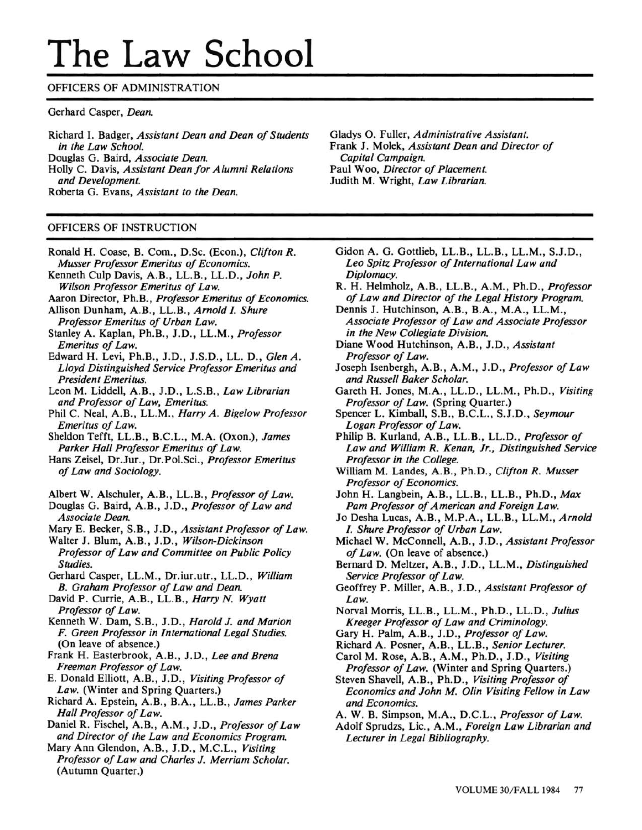# The Law School

## OFFICERS OF ADMINISTRATION

#### Gerhard Casper, Dean.

Richard I. Badger, Assistant Dean and Dean of Students in the Law School. Douglas G. Baird, Associate Dean. Holly C. Davis, Assistant Dean for Alumni Relations and Development. Roberta G. Evans, Assistant to the Dean.

#### OFFICERS OF INSTRUCTION

- Ronald H. Coase, B. Com., D.Sc. (Econ.), Clifton R. Musser Professor Emeritus of Economics.
- Kenneth Culp Davis, A.B., LL.B., LL.D., John P. Wilson Professor Emeritus of Law.
- Aaron Director, Ph.B., Professor Emeritus of Economics.
- Allison Dunham, A.B., LL.B., Arnold I. Shure Professor Emeritus of Urban Law.
- Stanley A. Kaplan, Ph.B., J.D., LL.M., Professor Emeritus of Law.
- Edward H. Levi, Ph.B., J.D., J.S.D., LL. D., Glen A. Lloyd Distinguished Service Professor Emeritus and President Emeritus.
- Leon M. Liddell, A.B., J.D., L.S.B., Law Librarian and Professor of Law, Emeritus.
- Phil C. Neal, A.B., LL.M., Harry A. Bigelow Professor Emeritus of Law.
- Sheldon Tefft, LL.B., B.C.L., M.A. (Oxon.), James Parker Hall Professor Emeritus of Law.
- Hans Zeisel, Dr.Jur., Dr.Pol.Sci., Professor Emeritus of Law and Sociology.
- Albert W. Alschuler, A.B., LL.B., Professor of Law.
- Douglas G. Baird, A.B., J.D., Professor of Law and Associate Dean.
- Mary E. Becker, S.B., J.D., Assistant Professor of Law.
- Walter J. Blum, A.B., J.D., Wilson-Dickinson Professor of Law and Committee on Public Policy Studies.
- Gerhard Casper, LL.M., Dr.iur.utr., LL.D., William B. Graham Professor of Law and Dean.
- David P. Currie, A.B., LL.B., Harry N. Wyatt Professor of Law.
- Kenneth W. Dam, S.B., J.D., Harold J. and Marion F. Green Professor in International Legal Studies. (On leave of absence.)
- Frank H. Easterbrook, A.B., J.D., Lee and Brena Freeman Professor of Law.
- E. Donald Elliott, A.B., J.D., Visiting Professor of Law. (Winter and Spring Quarters.)
- Richard A. Epstein, A.B., B.A., LL.B., James Parker Hall Professor of Law.
- Daniel R. Fischel, A.B., A.M., J.D., Professor of Law and Director of the Law and Economics Program.
- Mary Ann Glendon, A.B., J.D., M.C.L., Visiting Professor of Law and Charles J. Merriam Scholar. (Autumn Quarter.)

Gladys O. Fuller, Administrative Assistant. Frank J. Molek, Assistant Dean and Director of Capital Campaign. Paul Woo, Director of Placement. Judith M. Wright, Law Librarian.

- Gidon A. G. Gottlieb, LL.B., LL.B., LL.M., S.J.D., Leo Spitz Professor of International Law and Diplomacy.
- R. H. Helmholz, A.B., LL.B., A.M., Ph.D., Professor of Law and Director of the Legal History Program.
- Dennis J. Hutchinson, A.B., B.A., M.A., LL.M., Associate Professor of Law and Associate Professor in the New Collegiate Division.
- Diane Wood Hutchinson, A.B., J.D., Assistant Professor of Law.
- Joseph Isenbergh, A.B., A.M., J.D., Professor of Law and Russell Baker Scholar.
- Gareth H. Jones, M.A., LL.D., LL.M., Ph.D., Visiting Professor of Law. (Spring Quarter.)
- Spencer L. Kimball, S.B., B.C.L., S.J.D., Seymour Logan Professor of Law.
- Philip B. Kurland, A.B., LL.B., LL.D., Professor of Law and William R. Kenan, Jr., Distinguished Service Professor in the College.
- William M. Landes, A.B., Ph.D., Clifton R. Musser Professor of Economics.
- John H. Langbein, A.B., LL.B., LL.B., Ph.D., Max Pam Professor of American and Foreign Law.
- Jo Desha Lucas, A.B., M.P.A., LL.B., LL.M., Arnold I. Shure Professor of Urban Law.
- Michael W. McConnell, A.B., J.D., Assistant Professor of Law. (On leave of absence.)
- Bernard D. Meltzer, A.B., J.D., LL.M., Distinguished Service Professor of Law.
- Geoffrey P. Miller, A.B., J.D., Assistant Professor of Law.
- Norval Morris, LL.B., LL.M., Ph.D., LL.D., Julius Kreeger Professor of Law and Criminology.
- Gary H. Palm, A.B., J.D., Professor of Law.
- Richard A. Posner, A.B., LL.B., Senior Lecturer. Carol M. Rose, A.B., A.M., Ph.D., J.D., Visiting
- Professor of Law. (Winter and Spring Quarters.)
- Steven Shavell, A.B., Ph.D., Visiting Professor of Economics and John M. Olin Visiting Fellow in Law and Economics.
- A. W. B. Simpson, M.A., D.C.L., Professor of Law.
- Adolf Sprudzs, Lic., A.M., Foreign Law Librarian and Lecturer in Legal Bibliography.